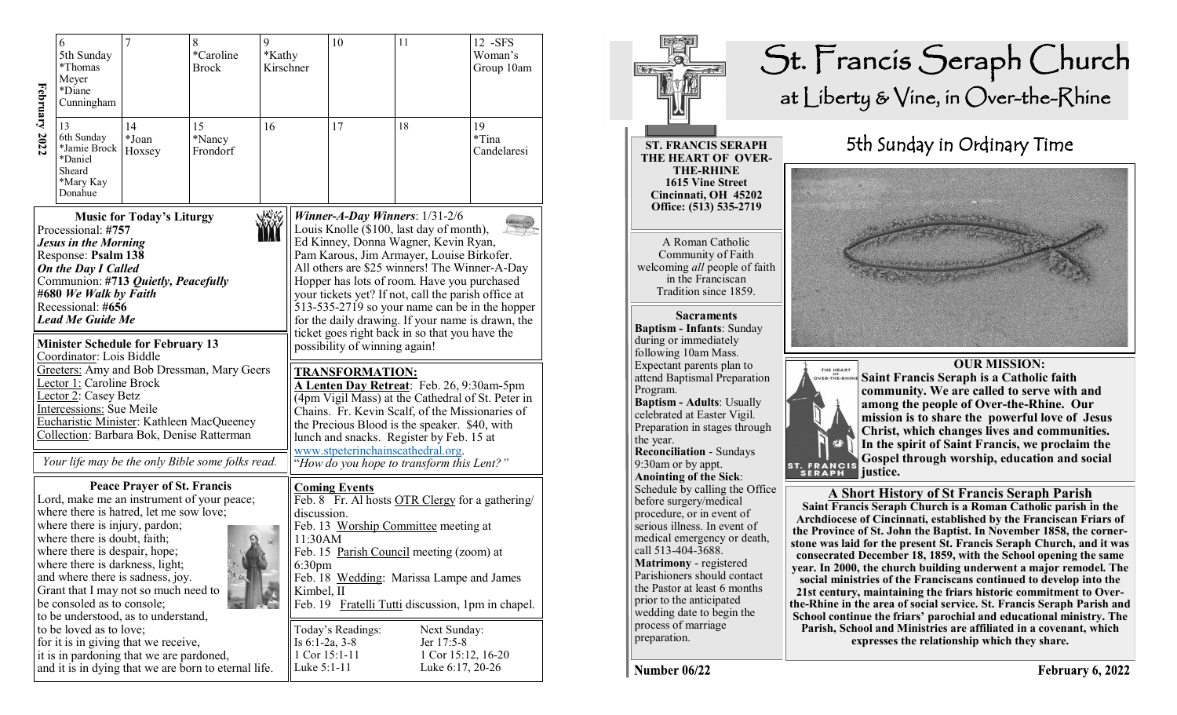|                                                                                                                                                                                                                                                                                                                                                                                                                    | 6<br>5th Sunday<br>*Thomas<br>Meyer<br>*Diane<br>Cunningham                                                 | $\overline{7}$<br>8<br>*Caroline<br><b>Brock</b> |                                                                                               | 9<br>*Kathy<br>Kirschner                                                                                                                                                                                                                                                                                                         |                                    | 10                                                                                                                                                                                                                                                                                                                                                                                                                                                                                                                                         | 11                                     | 12 - SFS<br>Woman's<br>Group 10am |  |
|--------------------------------------------------------------------------------------------------------------------------------------------------------------------------------------------------------------------------------------------------------------------------------------------------------------------------------------------------------------------------------------------------------------------|-------------------------------------------------------------------------------------------------------------|--------------------------------------------------|-----------------------------------------------------------------------------------------------|----------------------------------------------------------------------------------------------------------------------------------------------------------------------------------------------------------------------------------------------------------------------------------------------------------------------------------|------------------------------------|--------------------------------------------------------------------------------------------------------------------------------------------------------------------------------------------------------------------------------------------------------------------------------------------------------------------------------------------------------------------------------------------------------------------------------------------------------------------------------------------------------------------------------------------|----------------------------------------|-----------------------------------|--|
| February 2022                                                                                                                                                                                                                                                                                                                                                                                                      | 13<br>6th Sunday<br>*Jamie Brock<br>*Daniel<br>Sheard<br>*Mary Kay<br>Donahue                               | 14<br>*Joan<br>Hoxsey                            | 15<br>*Nancy<br>Frondorf                                                                      | 16                                                                                                                                                                                                                                                                                                                               |                                    | 17                                                                                                                                                                                                                                                                                                                                                                                                                                                                                                                                         | 18                                     | 19<br>$*$ Tina<br>Candelaresi     |  |
| <b>Music for Today's Liturgy</b><br>Processional: #757<br><b>Jesus in the Morning</b><br>Response: Psalm 138<br><b>On the Day I Called</b><br>Communion: #713 Quietly, Peacefully<br>#680 We Walk by Faith<br>Recessional: #656<br><b>Lead Me Guide Me</b><br><b>Minister Schedule for February 13</b><br>Coordinator: Lois Biddle<br>Greeters: Amy and Bob Dressman, Mary Geers<br>Lector 1: Caroline Brock       |                                                                                                             |                                                  |                                                                                               |                                                                                                                                                                                                                                                                                                                                  |                                    | Winner-A-Day Winners: 1/31-2/6<br>Louis Knolle (\$100, last day of month),<br>Ed Kinney, Donna Wagner, Kevin Ryan,<br>Pam Karous, Jim Armayer, Louise Birkofer.<br>All others are \$25 winners! The Winner-A-Day<br>Hopper has lots of room. Have you purchased<br>your tickets yet? If not, call the parish office at<br>513-535-2719 so your name can be in the hopper<br>for the daily drawing. If your name is drawn, the<br>ticket goes right back in so that you have the<br>possibility of winning again!<br><b>TRANSFORMATION:</b> |                                        |                                   |  |
|                                                                                                                                                                                                                                                                                                                                                                                                                    | Lector 2: Casey Betz<br>Intercessions: Sue Meile<br>Collection: Barbara Bok, Denise Ratterman               |                                                  | Eucharistic Minister: Kathleen MacQueeney<br>Your life may be the only Bible some folks read. | A Lenten Day Retreat: Feb. 26, 9:30am-5pm<br>(4pm Vigil Mass) at the Cathedral of St. Peter in<br>Chains. Fr. Kevin Scalf, of the Missionaries of<br>the Precious Blood is the speaker. \$40, with<br>lunch and snacks. Register by Feb. 15 at<br>www.stpeterinchainscathedral.org.<br>"How do you hope to transform this Lent?" |                                    |                                                                                                                                                                                                                                                                                                                                                                                                                                                                                                                                            |                                        |                                   |  |
| <b>Peace Prayer of St. Francis</b><br>Lord, make me an instrument of your peace;<br>where there is hatred, let me sow love;<br>where there is injury, pardon;<br>where there is doubt, faith;<br>where there is despair, hope;<br>where there is darkness, light;<br>and where there is sadness, joy.<br>Grant that I may not so much need to<br>be consoled as to console;<br>to be understood, as to understand, |                                                                                                             |                                                  |                                                                                               |                                                                                                                                                                                                                                                                                                                                  |                                    | <b>Coming Events</b><br>Feb. 8 Fr. Al hosts OTR Clergy for a gathering/<br>discussion.<br>Feb. 13 Worship Committee meeting at<br>11:30AM<br>Feb. 15 Parish Council meeting (zoom) at<br>6:30 <sub>pm</sub><br>Feb. 18 Wedding: Marissa Lampe and James<br>Kimbel, II<br>Feb. 19 Fratelli Tutti discussion, 1pm in chapel.                                                                                                                                                                                                                 |                                        |                                   |  |
|                                                                                                                                                                                                                                                                                                                                                                                                                    | to be loved as to love;<br>for it is in giving that we receive,<br>it is in pardoning that we are pardoned, |                                                  | and it is in dying that we are born to eternal life.                                          | Is $6:1-2a$ , $3-8$<br>Luke 5:1-11                                                                                                                                                                                                                                                                                               | Today's Readings:<br>1 Cor 15:1-11 | Next Sunday:<br>Jer 17:5-8                                                                                                                                                                                                                                                                                                                                                                                                                                                                                                                 | 1 Cor 15:12, 16-20<br>Luke 6:17, 20-26 |                                   |  |



February 6, 2022